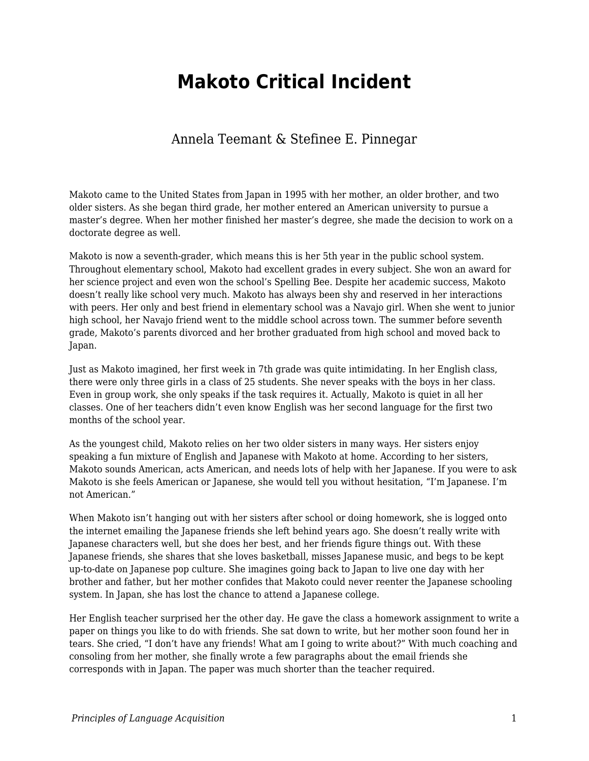## **Makoto Critical Incident**

## Annela Teemant & Stefinee E. Pinnegar

Makoto came to the United States from Japan in 1995 with her mother, an older brother, and two older sisters. As she began third grade, her mother entered an American university to pursue a master's degree. When her mother finished her master's degree, she made the decision to work on a doctorate degree as well.

Makoto is now a seventh-grader, which means this is her 5th year in the public school system. Throughout elementary school, Makoto had excellent grades in every subject. She won an award for her science project and even won the school's Spelling Bee. Despite her academic success, Makoto doesn't really like school very much. Makoto has always been shy and reserved in her interactions with peers. Her only and best friend in elementary school was a Navajo girl. When she went to junior high school, her Navajo friend went to the middle school across town. The summer before seventh grade, Makoto's parents divorced and her brother graduated from high school and moved back to Japan.

Just as Makoto imagined, her first week in 7th grade was quite intimidating. In her English class, there were only three girls in a class of 25 students. She never speaks with the boys in her class. Even in group work, she only speaks if the task requires it. Actually, Makoto is quiet in all her classes. One of her teachers didn't even know English was her second language for the first two months of the school year.

As the youngest child, Makoto relies on her two older sisters in many ways. Her sisters enjoy speaking a fun mixture of English and Japanese with Makoto at home. According to her sisters, Makoto sounds American, acts American, and needs lots of help with her Japanese. If you were to ask Makoto is she feels American or Japanese, she would tell you without hesitation, "I'm Japanese. I'm not American."

When Makoto isn't hanging out with her sisters after school or doing homework, she is logged onto the internet emailing the Japanese friends she left behind years ago. She doesn't really write with Japanese characters well, but she does her best, and her friends figure things out. With these Japanese friends, she shares that she loves basketball, misses Japanese music, and begs to be kept up-to-date on Japanese pop culture. She imagines going back to Japan to live one day with her brother and father, but her mother confides that Makoto could never reenter the Japanese schooling system. In Japan, she has lost the chance to attend a Japanese college.

Her English teacher surprised her the other day. He gave the class a homework assignment to write a paper on things you like to do with friends. She sat down to write, but her mother soon found her in tears. She cried, "I don't have any friends! What am I going to write about?" With much coaching and consoling from her mother, she finally wrote a few paragraphs about the email friends she corresponds with in Japan. The paper was much shorter than the teacher required.